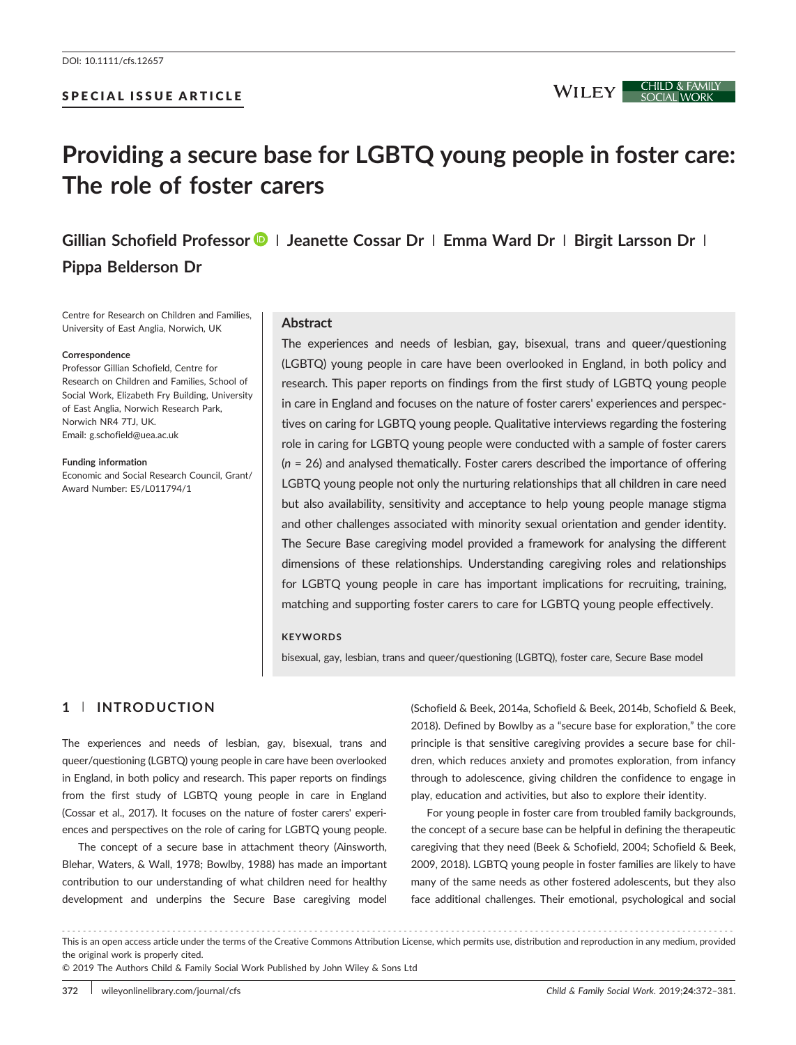# **Providing a secure base for LGBTQ young people in foster care: The role of foster carers**

**Gillian Schofield Professor | Jeanette Cossar Dr | Emma Ward Dr | Birgit Larsson Dr | Pippa Belderson Dr**

Centre for Research on Children and Families, University of East Anglia, Norwich, UK

#### **Correspondence**

Professor Gillian Schofield, Centre for Research on Children and Families, School of Social Work, Elizabeth Fry Building, University of East Anglia, Norwich Research Park, Norwich NR4 7TJ, UK. Email: g.schofield@uea.ac.uk

**Funding information** Economic and Social Research Council, Grant/ Award Number: ES/L011794/1

### **Abstract**

The experiences and needs of lesbian, gay, bisexual, trans and queer/questioning (LGBTQ) young people in care have been overlooked in England, in both policy and research. This paper reports on findings from the first study of LGBTQ young people in care in England and focuses on the nature of foster carers' experiences and perspectives on caring for LGBTQ young people. Qualitative interviews regarding the fostering role in caring for LGBTQ young people were conducted with a sample of foster carers (*n* = 26) and analysed thematically. Foster carers described the importance of offering LGBTQ young people not only the nurturing relationships that all children in care need but also availability, sensitivity and acceptance to help young people manage stigma and other challenges associated with minority sexual orientation and gender identity. The Secure Base caregiving model provided a framework for analysing the different dimensions of these relationships. Understanding caregiving roles and relationships for LGBTQ young people in care has important implications for recruiting, training, matching and supporting foster carers to care for LGBTQ young people effectively.

#### **KEYWORDS**

bisexual, gay, lesbian, trans and queer/questioning (LGBTQ), foster care, Secure Base model

# **1** | **INTRODUCTION**

The experiences and needs of lesbian, gay, bisexual, trans and queer/questioning (LGBTQ) young people in care have been overlooked in England, in both policy and research. This paper reports on findings from the first study of LGBTQ young people in care in England (Cossar et al., 2017). It focuses on the nature of foster carers' experiences and perspectives on the role of caring for LGBTQ young people.

The concept of a secure base in attachment theory (Ainsworth, Blehar, Waters, & Wall, 1978; Bowlby, 1988) has made an important contribution to our understanding of what children need for healthy development and underpins the Secure Base caregiving model

(Schofield & Beek, 2014a, Schofield & Beek, 2014b, Schofield & Beek, 2018). Defined by Bowlby as a "secure base for exploration," the core principle is that sensitive caregiving provides a secure base for children, which reduces anxiety and promotes exploration, from infancy through to adolescence, giving children the confidence to engage in play, education and activities, but also to explore their identity.

For young people in foster care from troubled family backgrounds, the concept of a secure base can be helpful in defining the therapeutic caregiving that they need (Beek & Schofield, 2004; Schofield & Beek, 2009, 2018). LGBTQ young people in foster families are likely to have many of the same needs as other fostered adolescents, but they also face additional challenges. Their emotional, psychological and social

© 2019 The Authors Child & Family Social Work Published by John Wiley & Sons Ltd

<sup>-------------------------------------------------------------------------------------------------------------------------------</sup> - This is an open access article under the terms of the [Creative Commons Attribution](http://creativecommons.org/licenses/by/4.0/) License, which permits use, distribution and reproduction in any medium, provided the original work is properly cited.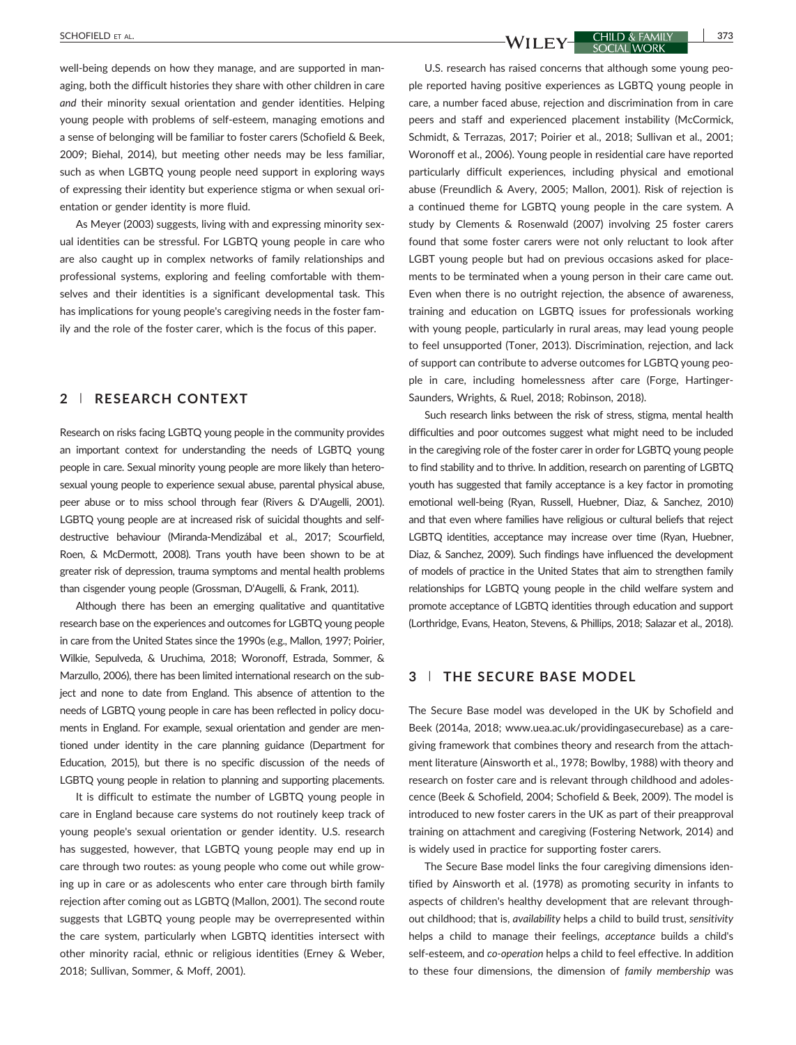well-being depends on how they manage, and are supported in managing, both the difficult histories they share with other children in care *and* their minority sexual orientation and gender identities. Helping young people with problems of self‐esteem, managing emotions and a sense of belonging will be familiar to foster carers (Schofield & Beek, 2009; Biehal, 2014), but meeting other needs may be less familiar, such as when LGBTQ young people need support in exploring ways of expressing their identity but experience stigma or when sexual orientation or gender identity is more fluid.

As Meyer (2003) suggests, living with and expressing minority sexual identities can be stressful. For LGBTQ young people in care who are also caught up in complex networks of family relationships and professional systems, exploring and feeling comfortable with themselves and their identities is a significant developmental task. This has implications for young people's caregiving needs in the foster family and the role of the foster carer, which is the focus of this paper.

## **2** | **RESEARCH CONTEXT**

Research on risks facing LGBTQ young people in the community provides an important context for understanding the needs of LGBTQ young people in care. Sexual minority young people are more likely than heterosexual young people to experience sexual abuse, parental physical abuse, peer abuse or to miss school through fear (Rivers & D'Augelli, 2001). LGBTQ young people are at increased risk of suicidal thoughts and self‐ destructive behaviour (Miranda‐Mendizábal et al., 2017; Scourfield, Roen, & McDermott, 2008). Trans youth have been shown to be at greater risk of depression, trauma symptoms and mental health problems than cisgender young people (Grossman, D'Augelli, & Frank, 2011).

Although there has been an emerging qualitative and quantitative research base on the experiences and outcomes for LGBTQ young people in care from the United States since the 1990s (e.g., Mallon, 1997; Poirier, Wilkie, Sepulveda, & Uruchima, 2018; Woronoff, Estrada, Sommer, & Marzullo, 2006), there has been limited international research on the subject and none to date from England. This absence of attention to the needs of LGBTQ young people in care has been reflected in policy documents in England. For example, sexual orientation and gender are mentioned under identity in the care planning guidance (Department for Education, 2015), but there is no specific discussion of the needs of LGBTQ young people in relation to planning and supporting placements.

It is difficult to estimate the number of LGBTQ young people in care in England because care systems do not routinely keep track of young people's sexual orientation or gender identity. U.S. research has suggested, however, that LGBTQ young people may end up in care through two routes: as young people who come out while growing up in care or as adolescents who enter care through birth family rejection after coming out as LGBTQ (Mallon, 2001). The second route suggests that LGBTQ young people may be overrepresented within the care system, particularly when LGBTQ identities intersect with other minority racial, ethnic or religious identities (Erney & Weber, 2018; Sullivan, Sommer, & Moff, 2001).

SCHOFIELD ET AL. **373**

U.S. research has raised concerns that although some young people reported having positive experiences as LGBTQ young people in care, a number faced abuse, rejection and discrimination from in care peers and staff and experienced placement instability (McCormick, Schmidt, & Terrazas, 2017; Poirier et al., 2018; Sullivan et al., 2001; Woronoff et al., 2006). Young people in residential care have reported particularly difficult experiences, including physical and emotional abuse (Freundlich & Avery, 2005; Mallon, 2001). Risk of rejection is a continued theme for LGBTQ young people in the care system. A study by Clements & Rosenwald (2007) involving 25 foster carers found that some foster carers were not only reluctant to look after LGBT young people but had on previous occasions asked for placements to be terminated when a young person in their care came out. Even when there is no outright rejection, the absence of awareness, training and education on LGBTQ issues for professionals working with young people, particularly in rural areas, may lead young people to feel unsupported (Toner, 2013). Discrimination, rejection, and lack of support can contribute to adverse outcomes for LGBTQ young people in care, including homelessness after care (Forge, Hartinger-Saunders, Wrights, & Ruel, 2018; Robinson, 2018).

Such research links between the risk of stress, stigma, mental health difficulties and poor outcomes suggest what might need to be included in the caregiving role of the foster carer in order for LGBTQ young people to find stability and to thrive. In addition, research on parenting of LGBTQ youth has suggested that family acceptance is a key factor in promoting emotional well‐being (Ryan, Russell, Huebner, Diaz, & Sanchez, 2010) and that even where families have religious or cultural beliefs that reject LGBTQ identities, acceptance may increase over time (Ryan, Huebner, Diaz, & Sanchez, 2009). Such findings have influenced the development of models of practice in the United States that aim to strengthen family relationships for LGBTQ young people in the child welfare system and promote acceptance of LGBTQ identities through education and support (Lorthridge, Evans, Heaton, Stevens, & Phillips, 2018; Salazar et al., 2018).

# **3** | **THE SECURE BASE MODEL**

The Secure Base model was developed in the UK by Schofield and Beek (2014a, 2018; [www.uea.ac.uk/providingasecurebase](https://www.uea.ac.uk/providingasecurebase)) as a caregiving framework that combines theory and research from the attachment literature (Ainsworth et al., 1978; Bowlby, 1988) with theory and research on foster care and is relevant through childhood and adolescence (Beek & Schofield, 2004; Schofield & Beek, 2009). The model is introduced to new foster carers in the UK as part of their preapproval training on attachment and caregiving (Fostering Network, 2014) and is widely used in practice for supporting foster carers.

The Secure Base model links the four caregiving dimensions identified by Ainsworth et al. (1978) as promoting security in infants to aspects of children's healthy development that are relevant throughout childhood; that is, *availability* helps a child to build trust, *sensitivity* helps a child to manage their feelings, *acceptance* builds a child's self‐esteem, and *co‐operation* helps a child to feel effective. In addition to these four dimensions, the dimension of *family membership* was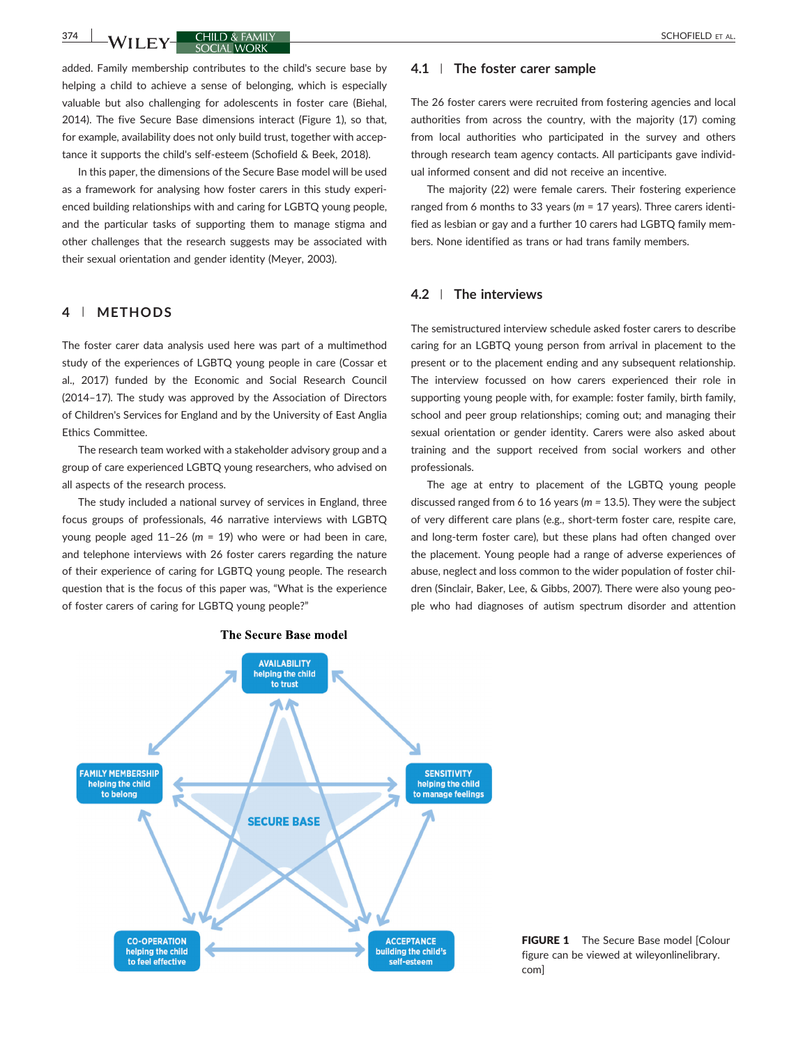added. Family membership contributes to the child's secure base by helping a child to achieve a sense of belonging, which is especially valuable but also challenging for adolescents in foster care (Biehal, 2014). The five Secure Base dimensions interact (Figure 1), so that, for example, availability does not only build trust, together with acceptance it supports the child's self-esteem (Schofield & Beek, 2018).

In this paper, the dimensions of the Secure Base model will be used as a framework for analysing how foster carers in this study experienced building relationships with and caring for LGBTQ young people, and the particular tasks of supporting them to manage stigma and other challenges that the research suggests may be associated with their sexual orientation and gender identity (Meyer, 2003).

#### **4** | **METHODS**

The foster carer data analysis used here was part of a multimethod study of the experiences of LGBTQ young people in care (Cossar et al., 2017) funded by the Economic and Social Research Council (2014–17). The study was approved by the Association of Directors of Children's Services for England and by the University of East Anglia Ethics Committee.

The research team worked with a stakeholder advisory group and a group of care experienced LGBTQ young researchers, who advised on all aspects of the research process.

The study included a national survey of services in England, three focus groups of professionals, 46 narrative interviews with LGBTQ young people aged 11–26 (*m* = 19) who were or had been in care, and telephone interviews with 26 foster carers regarding the nature of their experience of caring for LGBTQ young people. The research question that is the focus of this paper was, "What is the experience of foster carers of caring for LGBTQ young people?"

## **4.1** | **The foster carer sample**

The 26 foster carers were recruited from fostering agencies and local authorities from across the country, with the majority (17) coming from local authorities who participated in the survey and others through research team agency contacts. All participants gave individual informed consent and did not receive an incentive.

The majority (22) were female carers. Their fostering experience ranged from 6 months to 33 years (*m* = 17 years). Three carers identified as lesbian or gay and a further 10 carers had LGBTQ family members. None identified as trans or had trans family members.

## **4.2** | **The interviews**

The semistructured interview schedule asked foster carers to describe caring for an LGBTQ young person from arrival in placement to the present or to the placement ending and any subsequent relationship. The interview focussed on how carers experienced their role in supporting young people with, for example: foster family, birth family, school and peer group relationships; coming out; and managing their sexual orientation or gender identity. Carers were also asked about training and the support received from social workers and other professionals.

The age at entry to placement of the LGBTQ young people discussed ranged from 6 to 16 years (*m =* 13.5). They were the subject of very different care plans (e.g., short-term foster care, respite care, and long-term foster care), but these plans had often changed over the placement. Young people had a range of adverse experiences of abuse, neglect and loss common to the wider population of foster children (Sinclair, Baker, Lee, & Gibbs, 2007). There were also young people who had diagnoses of autism spectrum disorder and attention



The Secure Base model

FIGURE 1 The Secure Base model [Colour figure can be viewed at [wileyonlinelibrary.](http://wileyonlinelibrary.com) [com](http://wileyonlinelibrary.com)]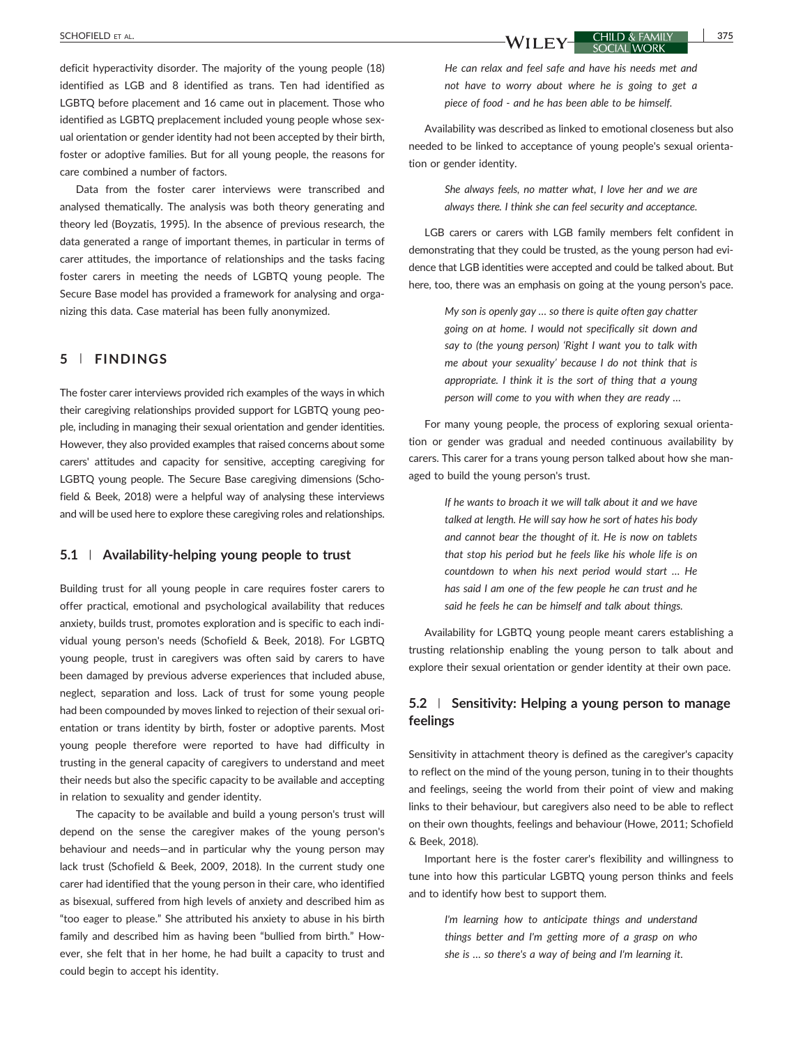deficit hyperactivity disorder. The majority of the young people (18) identified as LGB and 8 identified as trans. Ten had identified as LGBTQ before placement and 16 came out in placement. Those who identified as LGBTQ preplacement included young people whose sexual orientation or gender identity had not been accepted by their birth, foster or adoptive families. But for all young people, the reasons for care combined a number of factors.

Data from the foster carer interviews were transcribed and analysed thematically. The analysis was both theory generating and theory led (Boyzatis, 1995). In the absence of previous research, the data generated a range of important themes, in particular in terms of carer attitudes, the importance of relationships and the tasks facing foster carers in meeting the needs of LGBTQ young people. The Secure Base model has provided a framework for analysing and organizing this data. Case material has been fully anonymized.

## **5** | **FINDINGS**

The foster carer interviews provided rich examples of the ways in which their caregiving relationships provided support for LGBTQ young people, including in managing their sexual orientation and gender identities. However, they also provided examples that raised concerns about some carers' attitudes and capacity for sensitive, accepting caregiving for LGBTQ young people. The Secure Base caregiving dimensions (Schofield & Beek, 2018) were a helpful way of analysing these interviews and will be used here to explore these caregiving roles and relationships.

## **5.1** | **Availability‐helping young people to trust**

Building trust for all young people in care requires foster carers to offer practical, emotional and psychological availability that reduces anxiety, builds trust, promotes exploration and is specific to each individual young person's needs (Schofield & Beek, 2018). For LGBTQ young people, trust in caregivers was often said by carers to have been damaged by previous adverse experiences that included abuse, neglect, separation and loss. Lack of trust for some young people had been compounded by moves linked to rejection of their sexual orientation or trans identity by birth, foster or adoptive parents. Most young people therefore were reported to have had difficulty in trusting in the general capacity of caregivers to understand and meet their needs but also the specific capacity to be available and accepting in relation to sexuality and gender identity.

The capacity to be available and build a young person's trust will depend on the sense the caregiver makes of the young person's behaviour and needs—and in particular why the young person may lack trust (Schofield & Beek, 2009, 2018). In the current study one carer had identified that the young person in their care, who identified as bisexual, suffered from high levels of anxiety and described him as "too eager to please." She attributed his anxiety to abuse in his birth family and described him as having been "bullied from birth." However, she felt that in her home, he had built a capacity to trust and could begin to accept his identity.

*He can relax and feel safe and have his needs met and not have to worry about where he is going to get a piece of food ‐ and he has been able to be himself.*

Availability was described as linked to emotional closeness but also needed to be linked to acceptance of young people's sexual orientation or gender identity.

> *She always feels, no matter what, I love her and we are always there. I think she can feel security and acceptance.*

LGB carers or carers with LGB family members felt confident in demonstrating that they could be trusted, as the young person had evidence that LGB identities were accepted and could be talked about. But here, too, there was an emphasis on going at the young person's pace.

> *My son is openly gay … so there is quite often gay chatter going on at home. I would not specifically sit down and say to (the young person) 'Right I want you to talk with me about your sexuality' because I do not think that is appropriate. I think it is the sort of thing that a young person will come to you with when they are ready …*

For many young people, the process of exploring sexual orientation or gender was gradual and needed continuous availability by carers. This carer for a trans young person talked about how she managed to build the young person's trust.

> *If he wants to broach it we will talk about it and we have talked at length. He will say how he sort of hates his body and cannot bear the thought of it. He is now on tablets that stop his period but he feels like his whole life is on countdown to when his next period would start … He has said I am one of the few people he can trust and he said he feels he can be himself and talk about things.*

Availability for LGBTQ young people meant carers establishing a trusting relationship enabling the young person to talk about and explore their sexual orientation or gender identity at their own pace.

## **5.2** | **Sensitivity: Helping a young person to manage feelings**

Sensitivity in attachment theory is defined as the caregiver's capacity to reflect on the mind of the young person, tuning in to their thoughts and feelings, seeing the world from their point of view and making links to their behaviour, but caregivers also need to be able to reflect on their own thoughts, feelings and behaviour (Howe, 2011; Schofield & Beek, 2018).

Important here is the foster carer's flexibility and willingness to tune into how this particular LGBTQ young person thinks and feels and to identify how best to support them.

> *I'm learning how to anticipate things and understand things better and I'm getting more of a grasp on who she is … so there's a way of being and I'm learning it.*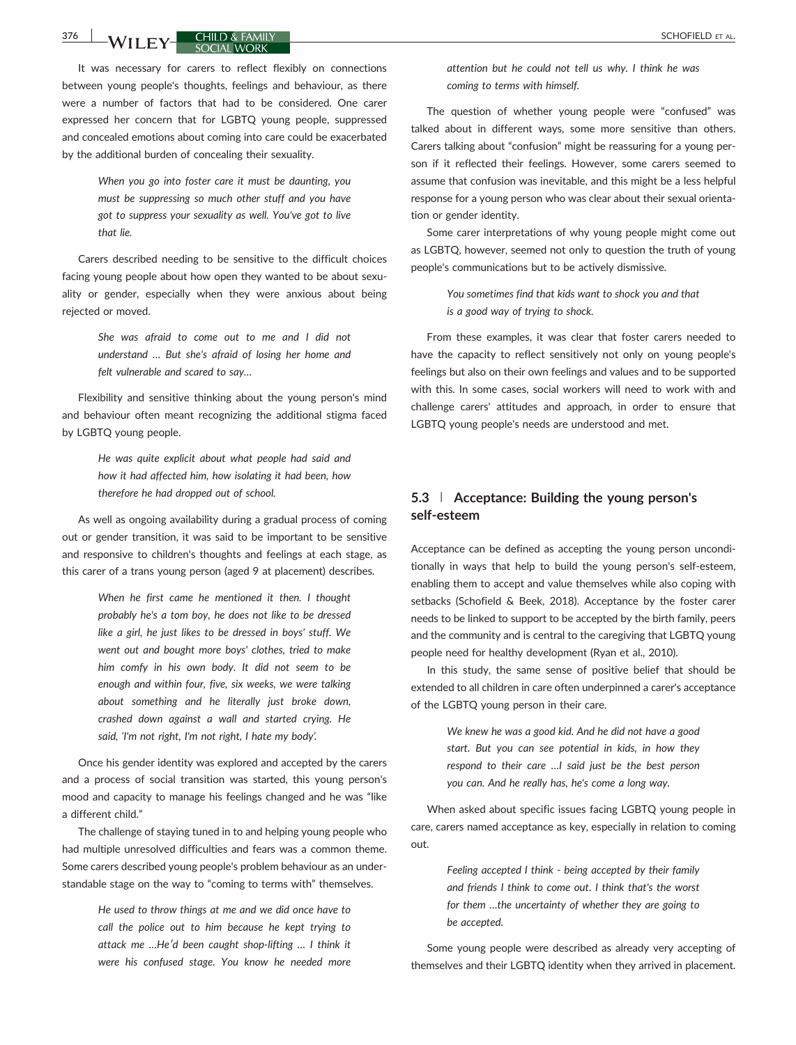It was necessary for carers to reflect flexibly on connections between young people's thoughts, feelings and behaviour, as there were a number of factors that had to be considered. One carer expressed her concern that for LGBTQ young people, suppressed and concealed emotions about coming into care could be exacerbated by the additional burden of concealing their sexuality.

> *When you go into foster care it must be daunting, you must be suppressing so much other stuff and you have got to suppress your sexuality as well. You've got to live that lie.*

Carers described needing to be sensitive to the difficult choices facing young people about how open they wanted to be about sexuality or gender, especially when they were anxious about being rejected or moved.

> *She was afraid to come out to me and I did not understand … But she's afraid of losing her home and felt vulnerable and scared to say…*

Flexibility and sensitive thinking about the young person's mind and behaviour often meant recognizing the additional stigma faced by LGBTQ young people.

> *He was quite explicit about what people had said and how it had affected him, how isolating it had been, how therefore he had dropped out of school.*

As well as ongoing availability during a gradual process of coming out or gender transition, it was said to be important to be sensitive and responsive to children's thoughts and feelings at each stage, as this carer of a trans young person (aged 9 at placement) describes.

> *When he first came he mentioned it then. I thought probably he's a tom boy, he does not like to be dressed like a girl, he just likes to be dressed in boys' stuff. We went out and bought more boys' clothes, tried to make him comfy in his own body. It did not seem to be enough and within four, five, six weeks, we were talking about something and he literally just broke down, crashed down against a wall and started crying. He said, 'I'm not right, I'm not right, I hate my body'.*

Once his gender identity was explored and accepted by the carers and a process of social transition was started, this young person's mood and capacity to manage his feelings changed and he was "like a different child."

The challenge of staying tuned in to and helping young people who had multiple unresolved difficulties and fears was a common theme. Some carers described young people's problem behaviour as an understandable stage on the way to "coming to terms with" themselves.

> *He used to throw things at me and we did once have to call the police out to him because he kept trying to attack me …He′d been caught shop‐lifting … I think it were his confused stage. You know he needed more*

*attention but he could not tell us why. I think he was coming to terms with himself.*

The question of whether young people were "confused" was talked about in different ways, some more sensitive than others. Carers talking about "confusion" might be reassuring for a young person if it reflected their feelings. However, some carers seemed to assume that confusion was inevitable, and this might be a less helpful response for a young person who was clear about their sexual orientation or gender identity.

Some carer interpretations of why young people might come out as LGBTQ, however, seemed not only to question the truth of young people's communications but to be actively dismissive.

> *You sometimes find that kids want to shock you and that is a good way of trying to shock.*

From these examples, it was clear that foster carers needed to have the capacity to reflect sensitively not only on young people's feelings but also on their own feelings and values and to be supported with this. In some cases, social workers will need to work with and challenge carers' attitudes and approach, in order to ensure that LGBTQ young people's needs are understood and met.

# **5.3** | **Acceptance: Building the young person's self‐esteem**

Acceptance can be defined as accepting the young person unconditionally in ways that help to build the young person's self‐esteem, enabling them to accept and value themselves while also coping with setbacks (Schofield & Beek, 2018). Acceptance by the foster carer needs to be linked to support to be accepted by the birth family, peers and the community and is central to the caregiving that LGBTQ young people need for healthy development (Ryan et al., 2010).

In this study, the same sense of positive belief that should be extended to all children in care often underpinned a carer's acceptance of the LGBTQ young person in their care.

> *We knew he was a good kid. And he did not have a good start. But you can see potential in kids, in how they respond to their care …I said just be the best person you can. And he really has, he's come a long way.*

When asked about specific issues facing LGBTQ young people in care, carers named acceptance as key, especially in relation to coming out.

> *Feeling accepted I think ‐ being accepted by their family and friends I think to come out. I think that's the worst for them …the uncertainty of whether they are going to be accepted.*

Some young people were described as already very accepting of themselves and their LGBTQ identity when they arrived in placement.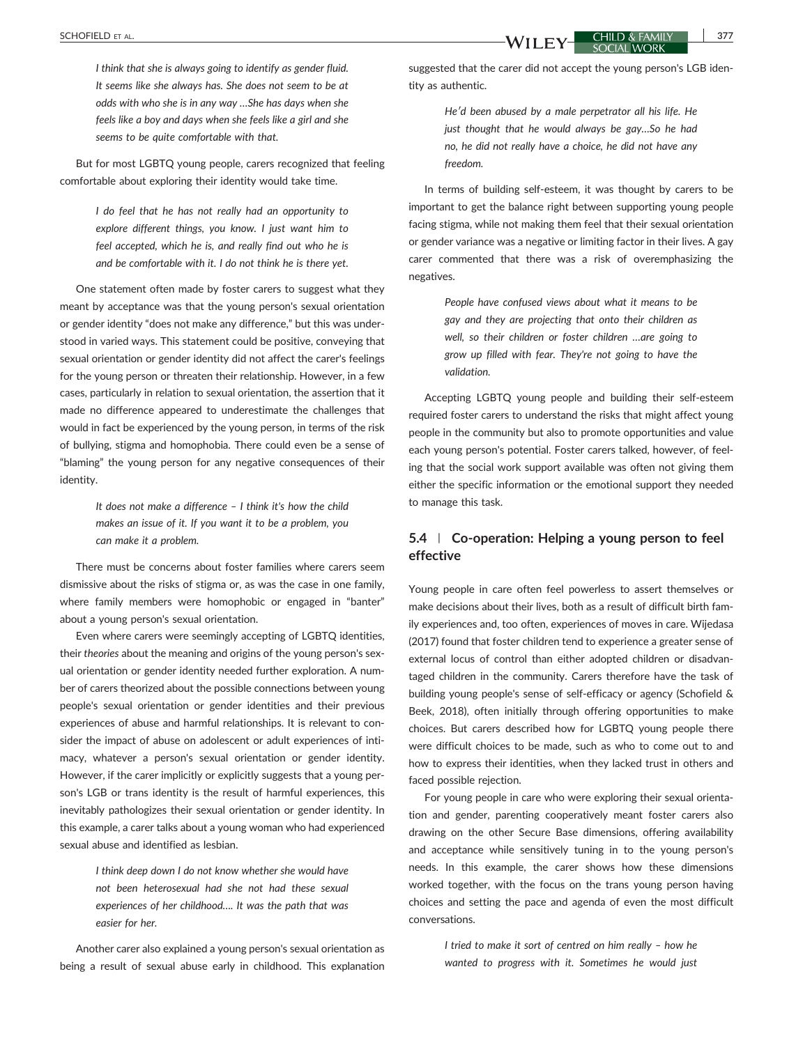*I think that she is always going to identify as gender fluid. It seems like she always has. She does not seem to be at odds with who she is in any way …She has days when she feels like a boy and days when she feels like a girl and she seems to be quite comfortable with that.*

But for most LGBTQ young people, carers recognized that feeling comfortable about exploring their identity would take time.

> *I do feel that he has not really had an opportunity to explore different things, you know. I just want him to feel accepted, which he is, and really find out who he is and be comfortable with it. I do not think he is there yet.*

One statement often made by foster carers to suggest what they meant by acceptance was that the young person's sexual orientation or gender identity "does not make any difference," but this was understood in varied ways. This statement could be positive, conveying that sexual orientation or gender identity did not affect the carer's feelings for the young person or threaten their relationship. However, in a few cases, particularly in relation to sexual orientation, the assertion that it made no difference appeared to underestimate the challenges that would in fact be experienced by the young person, in terms of the risk of bullying, stigma and homophobia. There could even be a sense of "blaming" the young person for any negative consequences of their identity.

> *It does not make a difference – I think it's how the child makes an issue of it. If you want it to be a problem, you can make it a problem.*

There must be concerns about foster families where carers seem dismissive about the risks of stigma or, as was the case in one family, where family members were homophobic or engaged in "banter" about a young person's sexual orientation.

Even where carers were seemingly accepting of LGBTQ identities, their *theories* about the meaning and origins of the young person's sexual orientation or gender identity needed further exploration. A number of carers theorized about the possible connections between young people's sexual orientation or gender identities and their previous experiences of abuse and harmful relationships. It is relevant to consider the impact of abuse on adolescent or adult experiences of intimacy, whatever a person's sexual orientation or gender identity. However, if the carer implicitly or explicitly suggests that a young person's LGB or trans identity is the result of harmful experiences, this inevitably pathologizes their sexual orientation or gender identity. In this example, a carer talks about a young woman who had experienced sexual abuse and identified as lesbian.

> *I think deep down I do not know whether she would have not been heterosexual had she not had these sexual experiences of her childhood…. It was the path that was easier for her.*

Another carer also explained a young person's sexual orientation as being a result of sexual abuse early in childhood. This explanation suggested that the carer did not accept the young person's LGB identity as authentic.

> *He′d been abused by a male perpetrator all his life. He just thought that he would always be gay…So he had no, he did not really have a choice, he did not have any freedom.*

In terms of building self‐esteem, it was thought by carers to be important to get the balance right between supporting young people facing stigma, while not making them feel that their sexual orientation or gender variance was a negative or limiting factor in their lives. A gay carer commented that there was a risk of overemphasizing the negatives.

> *People have confused views about what it means to be gay and they are projecting that onto their children as well, so their children or foster children …are going to grow up filled with fear. They're not going to have the validation.*

Accepting LGBTQ young people and building their self‐esteem required foster carers to understand the risks that might affect young people in the community but also to promote opportunities and value each young person's potential. Foster carers talked, however, of feeling that the social work support available was often not giving them either the specific information or the emotional support they needed to manage this task.

## **5.4** | **Co‐operation: Helping a young person to feel effective**

Young people in care often feel powerless to assert themselves or make decisions about their lives, both as a result of difficult birth family experiences and, too often, experiences of moves in care. Wijedasa (2017) found that foster children tend to experience a greater sense of external locus of control than either adopted children or disadvantaged children in the community. Carers therefore have the task of building young people's sense of self‐efficacy or agency (Schofield & Beek, 2018), often initially through offering opportunities to make choices. But carers described how for LGBTQ young people there were difficult choices to be made, such as who to come out to and how to express their identities, when they lacked trust in others and faced possible rejection.

For young people in care who were exploring their sexual orientation and gender, parenting cooperatively meant foster carers also drawing on the other Secure Base dimensions, offering availability and acceptance while sensitively tuning in to the young person's needs. In this example, the carer shows how these dimensions worked together, with the focus on the trans young person having choices and setting the pace and agenda of even the most difficult conversations.

> *I tried to make it sort of centred on him really – how he wanted to progress with it. Sometimes he would just*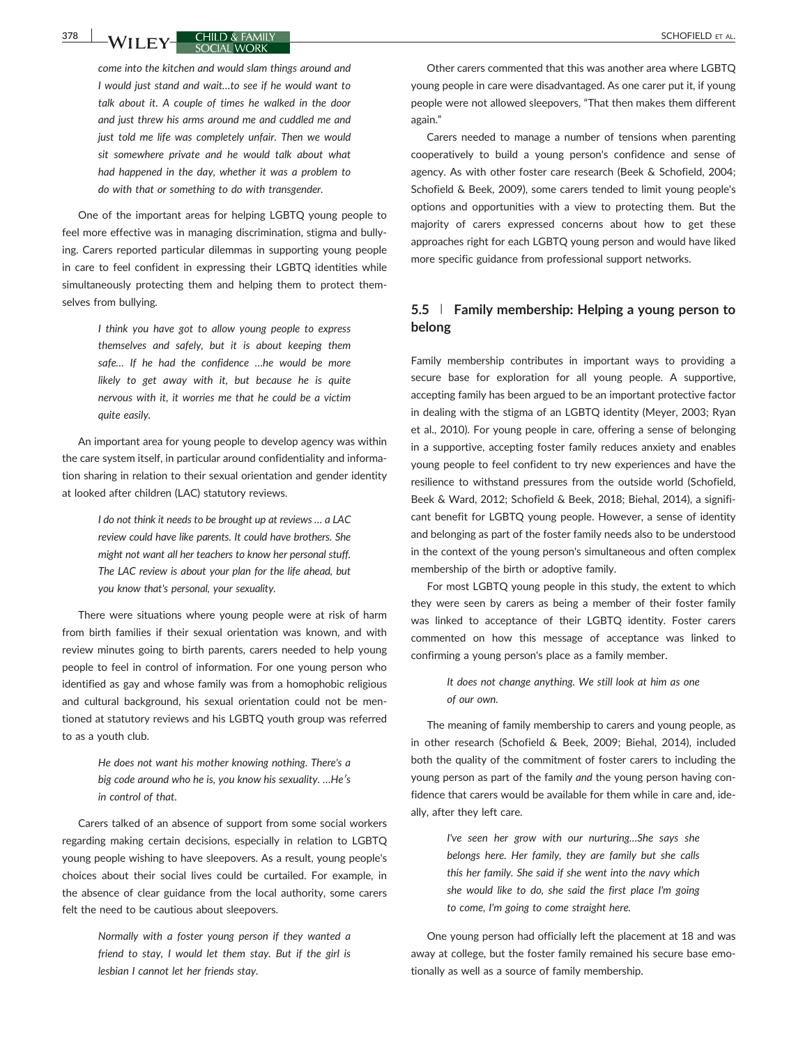*come into the kitchen and would slam things around and I would just stand and wait…to see if he would want to talk about it. A couple of times he walked in the door and just threw his arms around me and cuddled me and just told me life was completely unfair. Then we would sit somewhere private and he would talk about what had happened in the day, whether it was a problem to do with that or something to do with transgender.*

One of the important areas for helping LGBTQ young people to feel more effective was in managing discrimination, stigma and bullying. Carers reported particular dilemmas in supporting young people in care to feel confident in expressing their LGBTQ identities while simultaneously protecting them and helping them to protect themselves from bullying.

> *I think you have got to allow young people to express themselves and safely, but it is about keeping them safe… If he had the confidence …he would be more likely to get away with it, but because he is quite nervous with it, it worries me that he could be a victim quite easily.*

An important area for young people to develop agency was within the care system itself, in particular around confidentiality and information sharing in relation to their sexual orientation and gender identity at looked after children (LAC) statutory reviews.

> *I do not think it needs to be brought up at reviews … a LAC review could have like parents. It could have brothers. She might not want all her teachers to know her personal stuff. The LAC review is about your plan for the life ahead, but you know that's personal, your sexuality.*

There were situations where young people were at risk of harm from birth families if their sexual orientation was known, and with review minutes going to birth parents, carers needed to help young people to feel in control of information. For one young person who identified as gay and whose family was from a homophobic religious and cultural background, his sexual orientation could not be mentioned at statutory reviews and his LGBTQ youth group was referred to as a youth club.

> *He does not want his mother knowing nothing. There's a big code around who he is, you know his sexuality. …He′s in control of that.*

Carers talked of an absence of support from some social workers regarding making certain decisions, especially in relation to LGBTQ young people wishing to have sleepovers. As a result, young people's choices about their social lives could be curtailed. For example, in the absence of clear guidance from the local authority, some carers felt the need to be cautious about sleepovers.

> *Normally with a foster young person if they wanted a friend to stay, I would let them stay. But if the girl is lesbian I cannot let her friends stay.*

Other carers commented that this was another area where LGBTQ young people in care were disadvantaged. As one carer put it, if young people were not allowed sleepovers, "That then makes them different again."

Carers needed to manage a number of tensions when parenting cooperatively to build a young person's confidence and sense of agency. As with other foster care research (Beek & Schofield, 2004; Schofield & Beek, 2009), some carers tended to limit young people's options and opportunities with a view to protecting them. But the majority of carers expressed concerns about how to get these approaches right for each LGBTQ young person and would have liked more specific guidance from professional support networks.

## **5.5** | **Family membership: Helping a young person to belong**

Family membership contributes in important ways to providing a secure base for exploration for all young people. A supportive, accepting family has been argued to be an important protective factor in dealing with the stigma of an LGBTQ identity (Meyer, 2003; Ryan et al., 2010). For young people in care, offering a sense of belonging in a supportive, accepting foster family reduces anxiety and enables young people to feel confident to try new experiences and have the resilience to withstand pressures from the outside world (Schofield, Beek & Ward, 2012; Schofield & Beek, 2018; Biehal, 2014), a significant benefit for LGBTQ young people. However, a sense of identity and belonging as part of the foster family needs also to be understood in the context of the young person's simultaneous and often complex membership of the birth or adoptive family.

For most LGBTQ young people in this study, the extent to which they were seen by carers as being a member of their foster family was linked to acceptance of their LGBTQ identity. Foster carers commented on how this message of acceptance was linked to confirming a young person's place as a family member.

> *It does not change anything. We still look at him as one of our own.*

The meaning of family membership to carers and young people, as in other research (Schofield & Beek, 2009; Biehal, 2014), included both the quality of the commitment of foster carers to including the young person as part of the family *and* the young person having confidence that carers would be available for them while in care and, ideally, after they left care.

> *I've seen her grow with our nurturing…She says she belongs here. Her family, they are family but she calls this her family. She said if she went into the navy which she would like to do, she said the first place I'm going to come, I'm going to come straight here.*

One young person had officially left the placement at 18 and was away at college, but the foster family remained his secure base emotionally as well as a source of family membership.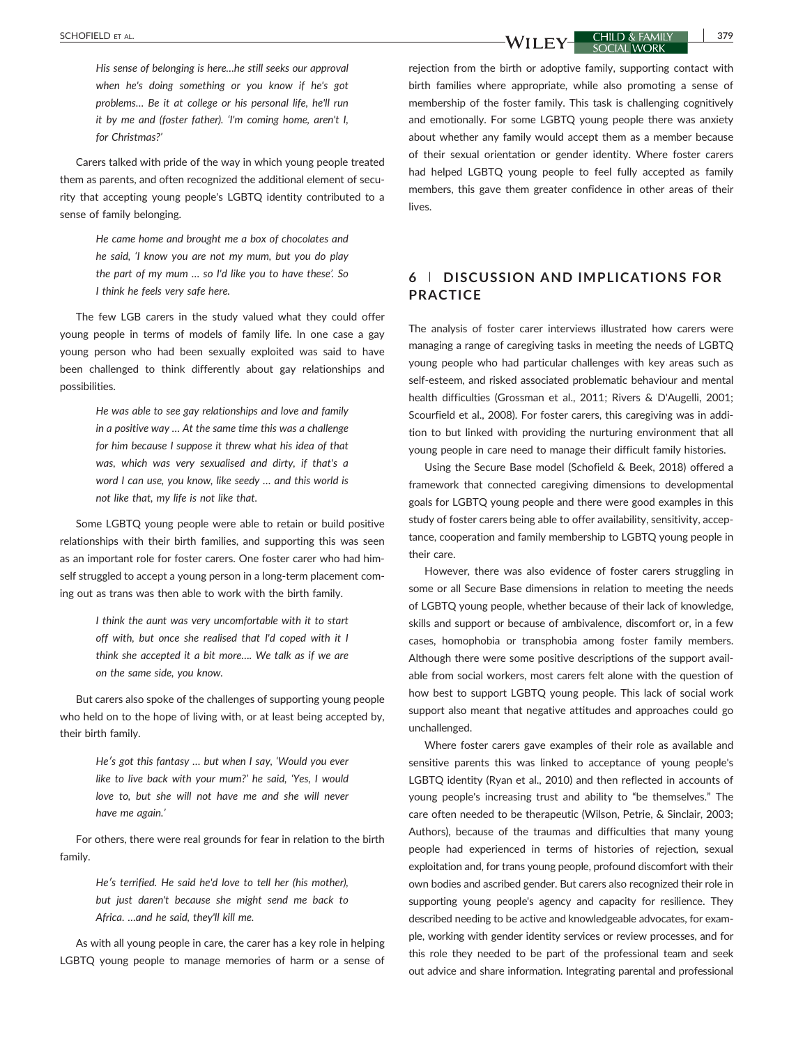*His sense of belonging is here…he still seeks our approval when he's doing something or you know if he's got problems… Be it at college or his personal life, he'll run it by me and (foster father). 'I'm coming home, aren't I, for Christmas?'*

Carers talked with pride of the way in which young people treated them as parents, and often recognized the additional element of security that accepting young people's LGBTQ identity contributed to a sense of family belonging.

> *He came home and brought me a box of chocolates and he said, 'I know you are not my mum, but you do play the part of my mum … so I'd like you to have these'. So I think he feels very safe here.*

The few LGB carers in the study valued what they could offer young people in terms of models of family life. In one case a gay young person who had been sexually exploited was said to have been challenged to think differently about gay relationships and possibilities.

> *He was able to see gay relationships and love and family in a positive way … At the same time this was a challenge for him because I suppose it threw what his idea of that was, which was very sexualised and dirty, if that's a word I can use, you know, like seedy … and this world is not like that, my life is not like that.*

Some LGBTQ young people were able to retain or build positive relationships with their birth families, and supporting this was seen as an important role for foster carers. One foster carer who had himself struggled to accept a young person in a long-term placement coming out as trans was then able to work with the birth family.

> *I think the aunt was very uncomfortable with it to start off with, but once she realised that I'd coped with it I think she accepted it a bit more…. We talk as if we are on the same side, you know.*

But carers also spoke of the challenges of supporting young people who held on to the hope of living with, or at least being accepted by, their birth family.

> *He′s got this fantasy … but when I say, 'Would you ever like to live back with your mum?' he said, 'Yes, I would love to, but she will not have me and she will never have me again.'*

For others, there were real grounds for fear in relation to the birth family.

> *He′s terrified. He said he'd love to tell her (his mother), but just daren't because she might send me back to Africa. …and he said, they'll kill me.*

As with all young people in care, the carer has a key role in helping LGBTQ young people to manage memories of harm or a sense of rejection from the birth or adoptive family, supporting contact with birth families where appropriate, while also promoting a sense of membership of the foster family. This task is challenging cognitively and emotionally. For some LGBTQ young people there was anxiety about whether any family would accept them as a member because of their sexual orientation or gender identity. Where foster carers had helped LGBTQ young people to feel fully accepted as family members, this gave them greater confidence in other areas of their lives.

# **6** | **DISCUSSION AND IMPLICATIONS FOR PRACTICE**

The analysis of foster carer interviews illustrated how carers were managing a range of caregiving tasks in meeting the needs of LGBTQ young people who had particular challenges with key areas such as self-esteem, and risked associated problematic behaviour and mental health difficulties (Grossman et al., 2011; Rivers & D'Augelli, 2001; Scourfield et al., 2008). For foster carers, this caregiving was in addition to but linked with providing the nurturing environment that all young people in care need to manage their difficult family histories.

Using the Secure Base model (Schofield & Beek, 2018) offered a framework that connected caregiving dimensions to developmental goals for LGBTQ young people and there were good examples in this study of foster carers being able to offer availability, sensitivity, acceptance, cooperation and family membership to LGBTQ young people in their care.

However, there was also evidence of foster carers struggling in some or all Secure Base dimensions in relation to meeting the needs of LGBTQ young people, whether because of their lack of knowledge, skills and support or because of ambivalence, discomfort or, in a few cases, homophobia or transphobia among foster family members. Although there were some positive descriptions of the support available from social workers, most carers felt alone with the question of how best to support LGBTQ young people. This lack of social work support also meant that negative attitudes and approaches could go unchallenged.

Where foster carers gave examples of their role as available and sensitive parents this was linked to acceptance of young people's LGBTQ identity (Ryan et al., 2010) and then reflected in accounts of young people's increasing trust and ability to "be themselves." The care often needed to be therapeutic (Wilson, Petrie, & Sinclair, 2003; Authors), because of the traumas and difficulties that many young people had experienced in terms of histories of rejection, sexual exploitation and, for trans young people, profound discomfort with their own bodies and ascribed gender. But carers also recognized their role in supporting young people's agency and capacity for resilience. They described needing to be active and knowledgeable advocates, for example, working with gender identity services or review processes, and for this role they needed to be part of the professional team and seek out advice and share information. Integrating parental and professional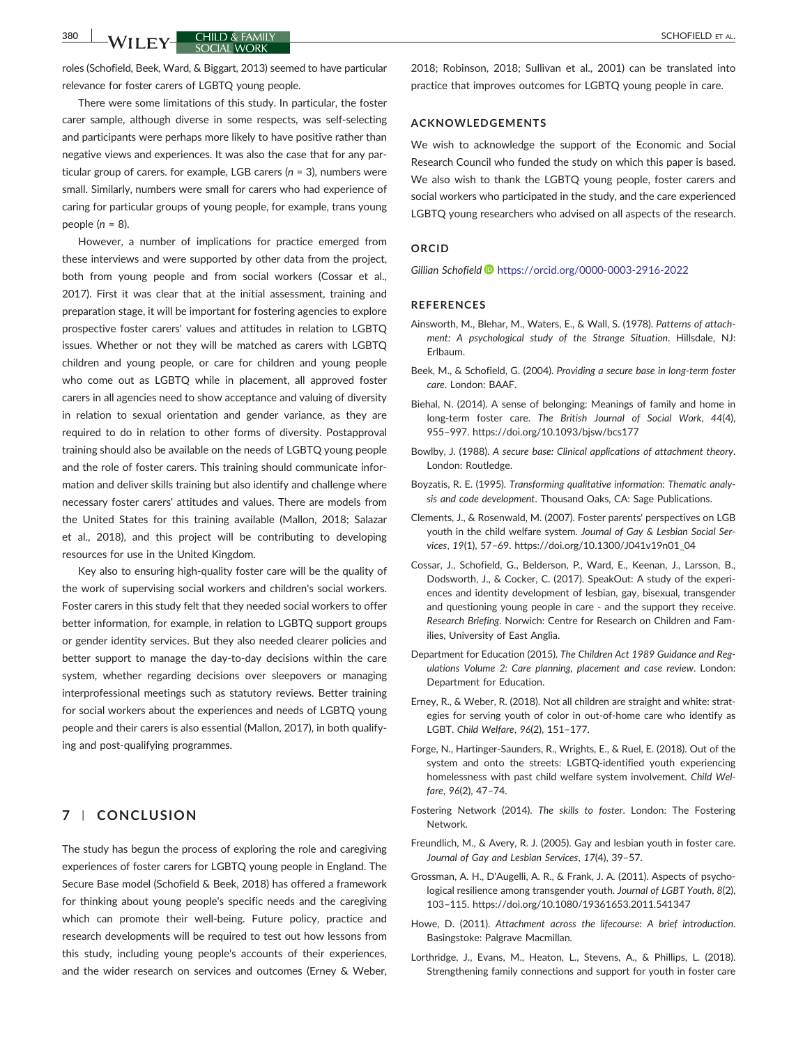roles (Schofield, Beek, Ward, & Biggart, 2013) seemed to have particular relevance for foster carers of LGBTQ young people.

There were some limitations of this study. In particular, the foster carer sample, although diverse in some respects, was self‐selecting and participants were perhaps more likely to have positive rather than negative views and experiences. It was also the case that for any particular group of carers. for example, LGB carers (*n* = 3), numbers were small. Similarly, numbers were small for carers who had experience of caring for particular groups of young people, for example, trans young people (*n* = 8).

However, a number of implications for practice emerged from these interviews and were supported by other data from the project, both from young people and from social workers (Cossar et al., 2017). First it was clear that at the initial assessment, training and preparation stage, it will be important for fostering agencies to explore prospective foster carers' values and attitudes in relation to LGBTQ issues. Whether or not they will be matched as carers with LGBTQ children and young people, or care for children and young people who come out as LGBTQ while in placement, all approved foster carers in all agencies need to show acceptance and valuing of diversity in relation to sexual orientation and gender variance, as they are required to do in relation to other forms of diversity. Postapproval training should also be available on the needs of LGBTQ young people and the role of foster carers. This training should communicate information and deliver skills training but also identify and challenge where necessary foster carers' attitudes and values. There are models from the United States for this training available (Mallon, 2018; Salazar et al., 2018), and this project will be contributing to developing resources for use in the United Kingdom.

Key also to ensuring high‐quality foster care will be the quality of the work of supervising social workers and children's social workers. Foster carers in this study felt that they needed social workers to offer better information, for example, in relation to LGBTQ support groups or gender identity services. But they also needed clearer policies and better support to manage the day‐to‐day decisions within the care system, whether regarding decisions over sleepovers or managing interprofessional meetings such as statutory reviews. Better training for social workers about the experiences and needs of LGBTQ young people and their carers is also essential (Mallon, 2017), in both qualifying and post‐qualifying programmes.

## **7** | **CONCLUSION**

The study has begun the process of exploring the role and caregiving experiences of foster carers for LGBTQ young people in England. The Secure Base model (Schofield & Beek, 2018) has offered a framework for thinking about young people's specific needs and the caregiving which can promote their well-being. Future policy, practice and research developments will be required to test out how lessons from this study, including young people's accounts of their experiences, and the wider research on services and outcomes (Erney & Weber,

2018; Robinson, 2018; Sullivan et al., 2001) can be translated into practice that improves outcomes for LGBTQ young people in care.

#### **ACKNOWLEDGEMENTS**

We wish to acknowledge the support of the Economic and Social Research Council who funded the study on which this paper is based. We also wish to thank the LGBTQ young people, foster carers and social workers who participated in the study, and the care experienced LGBTQ young researchers who advised on all aspects of the research.

#### **ORCID**

*Gillian Schofield* <https://orcid.org/0000-0003-2916-2022>

#### **REFERENCES**

- Ainsworth, M., Blehar, M., Waters, E., & Wall, S. (1978). *Patterns of attachment: A psychological study of the Strange Situation*. Hillsdale, NJ: Erlbaum.
- Beek, M., & Schofield, G. (2004). *Providing a secure base in long‐term foster care*. London: BAAF.
- Biehal, N. (2014). A sense of belonging: Meanings of family and home in long‐term foster care. *The British Journal of Social Work*, *44*(4), 955–997.<https://doi.org/10.1093/bjsw/bcs177>
- Bowlby, J. (1988). *A secure base: Clinical applications of attachment theory*. London: Routledge.
- Boyzatis, R. E. (1995). *Transforming qualitative information: Thematic analysis and code development*. Thousand Oaks, CA: Sage Publications.
- Clements, J., & Rosenwald, M. (2007). Foster parents' perspectives on LGB youth in the child welfare system. *Journal of Gay & Lesbian Social Services*, *19*(1), 57–69. [https://doi.org/10.1300/J041v19n01\\_04](https://doi.org/10.1300/J041v19n01_04)
- Cossar, J., Schofield, G., Belderson, P., Ward, E., Keenan, J., Larsson, B., Dodsworth, J., & Cocker, C. (2017). SpeakOut: A study of the experiences and identity development of lesbian, gay, bisexual, transgender and questioning young people in care ‐ and the support they receive. *Research Briefing*. Norwich: Centre for Research on Children and Families, University of East Anglia.
- Department for Education (2015). *The Children Act 1989 Guidance and Regulations Volume 2: Care planning, placement and case review*. London: Department for Education.
- Erney, R., & Weber, R. (2018). Not all children are straight and white: strategies for serving youth of color in out‐of‐home care who identify as LGBT. *Child Welfare*, *96*(2), 151–177.
- Forge, N., Hartinger‐Saunders, R., Wrights, E., & Ruel, E. (2018). Out of the system and onto the streets: LGBTQ‐identified youth experiencing homelessness with past child welfare system involvement. *Child Welfare*, *96*(2), 47–74.
- Fostering Network (2014). *The skills to foster*. London: The Fostering Network.
- Freundlich, M., & Avery, R. J. (2005). Gay and lesbian youth in foster care. *Journal of Gay and Lesbian Services*, *17*(4), 39–57.
- Grossman, A. H., D'Augelli, A. R., & Frank, J. A. (2011). Aspects of psychological resilience among transgender youth. *Journal of LGBT Youth*, *8*(2), 103–115.<https://doi.org/10.1080/19361653.2011.541347>
- Howe, D. (2011). *Attachment across the lifecourse: A brief introduction*. Basingstoke: Palgrave Macmillan.
- Lorthridge, J., Evans, M., Heaton, L., Stevens, A., & Phillips, L. (2018). Strengthening family connections and support for youth in foster care